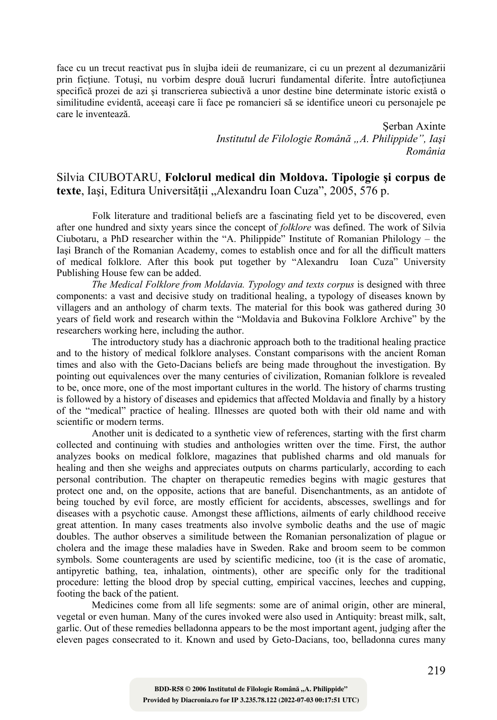face cu un trecut reactivat pus în slujba ideii de reumanizare, ci cu un prezent al dezumanizării prin fictiune. Totusi, nu vorbim despre două lucruri fundamental diferite. Între autofictiunea specifică prozei de azi şi transcrierea subiectivă a unor destine bine determinate istoric există o similitudine evidentă, aceeaşi care îi face pe romancieri să se identifice uneori cu personajele pe care le inventează.

> Şerban Axinte *Institutul de Filologie Română "A. Philippide", Iaşi România*

## Silvia CIUBOTARU, **Folclorul medical din Moldova. Tipologie şi corpus de**  texte, Iasi, Editura Universității "Alexandru Ioan Cuza", 2005, 576 p.

Folk literature and traditional beliefs are a fascinating field yet to be discovered, even after one hundred and sixty years since the concept of *folklore* was defined. The work of Silvia Ciubotaru, a PhD researcher within the "A. Philippide" Institute of Romanian Philology – the Iaşi Branch of the Romanian Academy, comes to establish once and for all the difficult matters of medical folklore. After this book put together by "Alexandru Ioan Cuza" University Publishing House few can be added.

*The Medical Folklore from Moldavia. Typology and texts corpus* is designed with three components: a vast and decisive study on traditional healing, a typology of diseases known by villagers and an anthology of charm texts. The material for this book was gathered during 30 years of field work and research within the "Moldavia and Bukovina Folklore Archive" by the researchers working here, including the author.

The introductory study has a diachronic approach both to the traditional healing practice and to the history of medical folklore analyses. Constant comparisons with the ancient Roman times and also with the Geto-Dacians beliefs are being made throughout the investigation. By pointing out equivalences over the many centuries of civilization, Romanian folklore is revealed to be, once more, one of the most important cultures in the world. The history of charms trusting is followed by a history of diseases and epidemics that affected Moldavia and finally by a history of the "medical" practice of healing. Illnesses are quoted both with their old name and with scientific or modern terms.

Another unit is dedicated to a synthetic view of references, starting with the first charm collected and continuing with studies and anthologies written over the time. First, the author analyzes books on medical folklore, magazines that published charms and old manuals for healing and then she weighs and appreciates outputs on charms particularly, according to each personal contribution. The chapter on therapeutic remedies begins with magic gestures that protect one and, on the opposite, actions that are baneful. Disenchantments, as an antidote of being touched by evil force, are mostly efficient for accidents, abscesses, swellings and for diseases with a psychotic cause. Amongst these afflictions, ailments of early childhood receive great attention. In many cases treatments also involve symbolic deaths and the use of magic doubles. The author observes a similitude between the Romanian personalization of plague or cholera and the image these maladies have in Sweden. Rake and broom seem to be common symbols. Some counteragents are used by scientific medicine, too (it is the case of aromatic, antipyretic bathing, tea, inhalation, ointments), other are specific only for the traditional procedure: letting the blood drop by special cutting, empirical vaccines, leeches and cupping, footing the back of the patient.

Medicines come from all life segments: some are of animal origin, other are mineral, vegetal or even human. Many of the cures invoked were also used in Antiquity: breast milk, salt, garlic. Out of these remedies belladonna appears to be the most important agent, judging after the eleven pages consecrated to it. Known and used by Geto-Dacians, too, belladonna cures many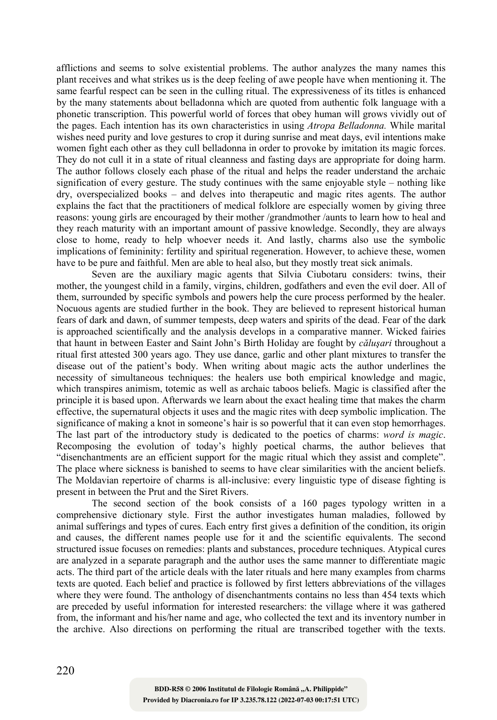afflictions and seems to solve existential problems. The author analyzes the many names this plant receives and what strikes us is the deep feeling of awe people have when mentioning it. The same fearful respect can be seen in the culling ritual. The expressiveness of its titles is enhanced by the many statements about belladonna which are quoted from authentic folk language with a phonetic transcription. This powerful world of forces that obey human will grows vividly out of the pages. Each intention has its own characteristics in using *Atropa Belladonna.* While marital wishes need purity and love gestures to crop it during sunrise and meat days, evil intentions make women fight each other as they cull belladonna in order to provoke by imitation its magic forces. They do not cull it in a state of ritual cleanness and fasting days are appropriate for doing harm. The author follows closely each phase of the ritual and helps the reader understand the archaic signification of every gesture. The study continues with the same enjoyable style – nothing like dry, overspecialized books – and delves into therapeutic and magic rites agents. The author explains the fact that the practitioners of medical folklore are especially women by giving three reasons: young girls are encouraged by their mother /grandmother /aunts to learn how to heal and they reach maturity with an important amount of passive knowledge. Secondly, they are always close to home, ready to help whoever needs it. And lastly, charms also use the symbolic implications of femininity: fertility and spiritual regeneration. However, to achieve these, women have to be pure and faithful. Men are able to heal also, but they mostly treat sick animals.

Seven are the auxiliary magic agents that Silvia Ciubotaru considers: twins, their mother, the youngest child in a family, virgins, children, godfathers and even the evil doer. All of them, surrounded by specific symbols and powers help the cure process performed by the healer. Nocuous agents are studied further in the book. They are believed to represent historical human fears of dark and dawn, of summer tempests, deep waters and spirits of the dead. Fear of the dark is approached scientifically and the analysis develops in a comparative manner. Wicked fairies that haunt in between Easter and Saint John's Birth Holiday are fought by *căluşari* throughout a ritual first attested 300 years ago. They use dance, garlic and other plant mixtures to transfer the disease out of the patient's body. When writing about magic acts the author underlines the necessity of simultaneous techniques: the healers use both empirical knowledge and magic, which transpires animism, totemic as well as archaic taboos beliefs. Magic is classified after the principle it is based upon. Afterwards we learn about the exact healing time that makes the charm effective, the supernatural objects it uses and the magic rites with deep symbolic implication. The significance of making a knot in someone's hair is so powerful that it can even stop hemorrhages. The last part of the introductory study is dedicated to the poetics of charms: *word is magic*. Recomposing the evolution of today's highly poetical charms, the author believes that "disenchantments are an efficient support for the magic ritual which they assist and complete". The place where sickness is banished to seems to have clear similarities with the ancient beliefs. The Moldavian repertoire of charms is all-inclusive: every linguistic type of disease fighting is present in between the Prut and the Siret Rivers.

The second section of the book consists of a 160 pages typology written in a comprehensive dictionary style. First the author investigates human maladies, followed by animal sufferings and types of cures. Each entry first gives a definition of the condition, its origin and causes, the different names people use for it and the scientific equivalents. The second structured issue focuses on remedies: plants and substances, procedure techniques. Atypical cures are analyzed in a separate paragraph and the author uses the same manner to differentiate magic acts. The third part of the article deals with the later rituals and here many examples from charms texts are quoted. Each belief and practice is followed by first letters abbreviations of the villages where they were found. The anthology of disenchantments contains no less than 454 texts which are preceded by useful information for interested researchers: the village where it was gathered from, the informant and his/her name and age, who collected the text and its inventory number in the archive. Also directions on performing the ritual are transcribed together with the texts.